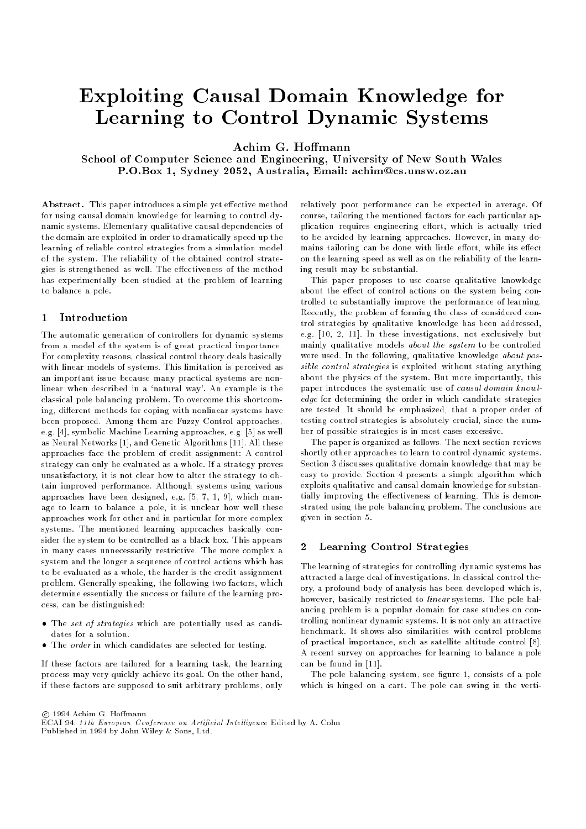# Exploiting Causal Domain Knowledge for Learning to Control Dynamic Systems

Achim G. Hoffmann

School of Computer Science and Engineering, University of New South Wales P.O.Box 1, Sydney 2052, Australia, Email: achim@cs.unsw.oz.au

Abstract. This paper introduces a simple yet effective method for using causal domain knowledge for learning to control dynamic systems. Elementary qualitative causal dependencies of the domain are exploited in order to dramatically speed up the learning of reliable control strategies from a simulation model of the system. The reliability of the obtained control strategies is strengthened as well. The effectiveness of the method has experimentally been studied at the problem of learning to balance a pole.

### 1 Introduction

The automatic generation of controllers for dynamic systems from a model of the system is of great practical importance. For complexity reasons, classical control theory deals basically with linear models of systems. This limitation is perceived as an important issue because many practical systems are nonlinear when described in a `natural way'. An example is the classical pole balancing problem. To overcome this shortcoming, different methods for coping with nonlinear systems have been proposed. Among them are Fuzzy Control approaches, e.g. [4], symbolic Machine Learning approaches, e.g. [5] as well as Neural Networks [1], and Genetic Algorithms [11]. All these approaches face the problem of credit assignment: A control strategy can only be evaluated as a whole. If a strategy proves unsatisfactory, it is not clear how to alter the strategy to obtain improved performance. Although systems using various approaches have been designed, e.g. [5, 7, 1, 9], which manage to learn to balance a pole, it is unclear how well these approaches work for other and in particular for more complex systems. The mentioned learning approaches basically consider the system to be controlled as a black box. This appears in many cases unnecessarily restrictive. The more complex a system and the longer a sequence of control actions which has to be evaluated as a whole, the harder is the credit assignment problem. Generally speaking, the following two factors, which determine essentially the success or failure of the learning process, can be distinguished:

- The set of strategies which are potentially used as candidates for a solution.
- The order in which candidates are selected for testing.

If these factors are tailored for a learning task, the learning process may very quickly achieve its goal. On the other hand, if these factors are supposed to suit arbitrary problems, only

relatively poor performance can be expected in average. Of course, tailoring the mentioned factors for each particular application requires engineering effort, which is actually tried to be avoided by learning approaches. However, in many domains tailoring can be done with little effort, while its effect on the learning speed as well as on the reliability of the learning result may be substantial.

This paper proposes to use coarse qualitative knowledge about the effect of control actions on the system being controlled to substantially improve the performance of learning. Recently, the problem of forming the class of considered control strategies by qualitative knowledge has been addressed, e.g. [10, 2, 11]. In these investigations, not exclusively but mainly qualitative models about the system to be controlled were used. In the following, qualitative knowledge about possible control strategies is exploited without stating anything about the physics of the system. But more importantly, this paper introduces the systematic use of causal domain knowledge for determining the order in which candidate strategies are tested. It should be emphasized, that a proper order of testing control strategies is absolutely crucial, since the number of possible strategies is in most cases excessive.

The paper is organized as follows. The next section reviews shortly other approaches to learn to control dynamic systems. Section 3 discusses qualitative domain knowledge that may be easy to provide. Section 4 presents a simple algorithm which exploits qualitative and causal domain knowledge for substantially improving the effectiveness of learning. This is demonstrated using the pole balancing problem. The conclusions are given in section 5.

#### $\mathbf{2}$ Learning Control Strategies

The learning of strategies for controlling dynamic systems has attracted a large deal of investigations. In classical control theory, a profound body of analysis has been developed which is, however, basically restricted to *linear* systems. The pole balancing problem is a popular domain for case studies on controlling nonlinear dynamic systems. It is not only an attractive benchmark. It shows also similarities with control problems of practical importance, such as satellite altitude control [8]. A recent survey on approaches for learning to balance a pole can be found in [11].

The pole balancing system, see figure 1, consists of a pole which is hinged on a cart. The pole can swing in the verti-

 $\odot$  1994 Achim G. Hoffmann

ECAI 94. 11th European Conference on Artificial Intelligence Edited by A. Cohn Published in 1994 by John Wiley & Sons, Ltd.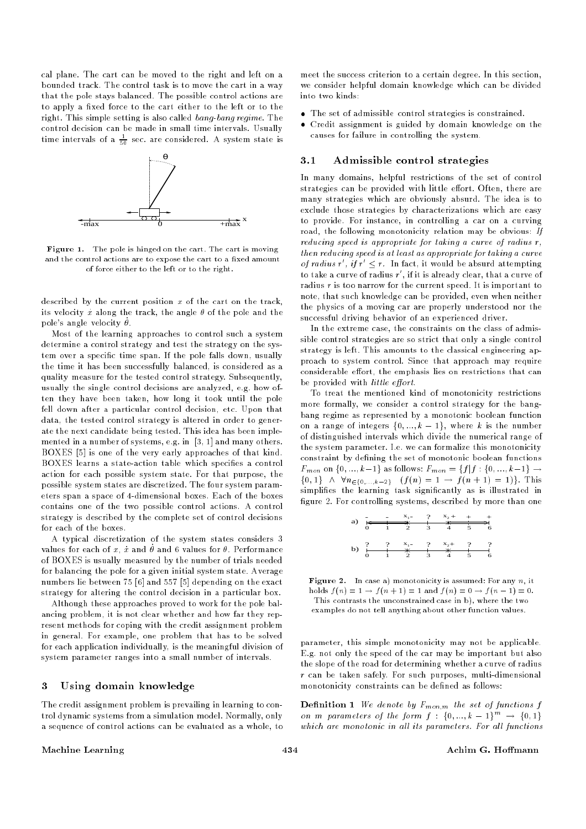cal plane. The cart can be moved to the right and left on a bounded track. The control task is to move the cart in a way that the pole stays balanced. The possible control actions are to apply a fixed force to the cart either to the left or to the right. This simple setting is also called bang-bang regime. The control decision can be made in small time intervals. Usually time intervals of a  $\frac{2}{50}$  sec. are considered. A system state is



Figure 1. The pole is hinged on the cart. The cart is moving and the control actions are to expose the cart to a fixed amount of force either to the left or to the right.

described by the current position  $x$  of the cart on the track, its velocity x along the track, the angle  $\theta$  of the pole and the pole's angle velocity  $\theta$ .

Most of the learning approaches to control such a system determine a control strategy and test the strategy on the system over a specific time span. If the pole falls down, usually the time it has been successfully balanced, is considered as a quality measure for the tested control strategy. Subsequently, usually the single control decisions are analyzed, e.g. how often they have been taken, how long it took until the pole fell down after a particular control decision, etc. Upon that data, the tested control strategy is altered in order to generate the next candidate being tested. This idea has been implemented in a number of systems, e.g. in [3, 1] and many others. BOXES [5] is one of the very early approaches of that kind. BOXES learns a state-action table which species a control action for each possible system state. For that purpose, the possible system states are discretized. The four system parameters span a space of 4-dimensional boxes. Each of the boxes contains one of the two possible control actions. A control strategy is described by the complete set of control decisions for each of the boxes.

A typical discretization of the system states considers 3 values for each of  $x, x$  and  $y$  and  $y$  values for  $y$ . I efformance of BOXES is usually measured by the number of trials needed for balancing the pole for a given initial system state. Average numbers lie between 75 [6] and 557 [5] depending on the exact strategy for altering the control decision in a particular box.

Although these approaches proved to work for the pole balancing problem, it is not clear whether and how far they represent methods for coping with the credit assignment problem in general. For example, one problem that has to be solved for each application individually, is the meaningful division of system parameter ranges into a small number of intervals.

### 3 Using domain knowledge

The credit assignment problem is prevailing in learning to control dynamic systems from a simulation model. Normally, only a sequence of control actions can be evaluated as a whole, to

meet the success criterion to a certain degree. In this section, we consider helpful domain knowledge which can be divided into two kinds:

- The set of admissible control strategies is constrained.
- Credit assignment is guided by domain knowledge on the causes for failure in controlling the system.

#### 3.1 Admissible control strategies

In many domains, helpful restrictions of the set of control strategies can be provided with little effort. Often, there are many strategies which are obviously absurd. The idea is to exclude those strategies by characterizations which are easy to provide. For instance, in controlling a car on a curving road, the following monotonicity relation may be obvious: If reducing speed is appropriate for taking a curve of radius r, then reducing speed is at least as appropriate for taking a curve *of radius r*,  $y r < r$ . In fact, it would be absurd attempting to take a curve of radius  $r$  , if it is already clear, that a curve of radius  $r$  is too narrow for the current speed. It is important to note, that such knowledge can be provided, even when neither the physics of a moving car are properly understood nor the successful driving behavior of an experienced driver.

In the extreme case, the constraints on the class of admissible control strategies are so strict that only a single control strategy is left. This amounts to the classical engineering approach to system control. Since that approach may require considerable effort, the emphasis lies on restrictions that can be provided with little effort.

To treat the mentioned kind of monotonicity restrictions more formally, we consider a control strategy for the bangbang regime as represented by a monotonic boolean function on a range of integers  $\{0, ..., k-1\}$ , where k is the number of distinguished intervals which divide the numerical range of the system parameter. I.e. we can formalize this monotonicity constraint by defining the set of monotonic boolean functions  $F_{mon}$  on  $\{0, ..., k-1\}$  as follows:  $F_{mon} = \{f | f : \{0, ..., k-1\} \rightarrow$  $\{0, 1\} \wedge \forall n_{\in \{0,\ldots,k-2\}} \ (f (n) = 1 \rightarrow f (n + 1) = 1)\}.$  This simplifies the learning task significantly as is illustrated in figure 2. For controlling systems, described by more than one

b) a) ? <sup>2</sup> x <sup>1</sup> x 0 6 1 2 3 4 5 ? ? ? ? - + 0 1 2 3 4 5 6 x1 x - - - ? <sup>2</sup> + + +

Figure 2. In case a) monotonicity is assumed: For any n, it holds  $f(n) = 1 \rightarrow f(n + 1) = 1$  and  $f(n) = 0 \rightarrow f(n - 1) = 0$ . This contrasts the unconstrained case in b), where the two examples do not tell anything about other function values.

parameter, this simple monotonicity may not be applicable. E.g. not only the speed of the car may be important but also the slope of the road for determining whether a curve of radius <sup>r</sup> can be taken safely. For such purposes, multi-dimensional monotonicity constraints can be defined as follows:

**Definition 1** We denote by  $F_{mon,m}$  the set of functions f on m parameters of the form  $j : \{0, ..., k - 1\}^{\infty} \rightarrow \{0, 1\}$ which are monotonic in all its parameters. For all functions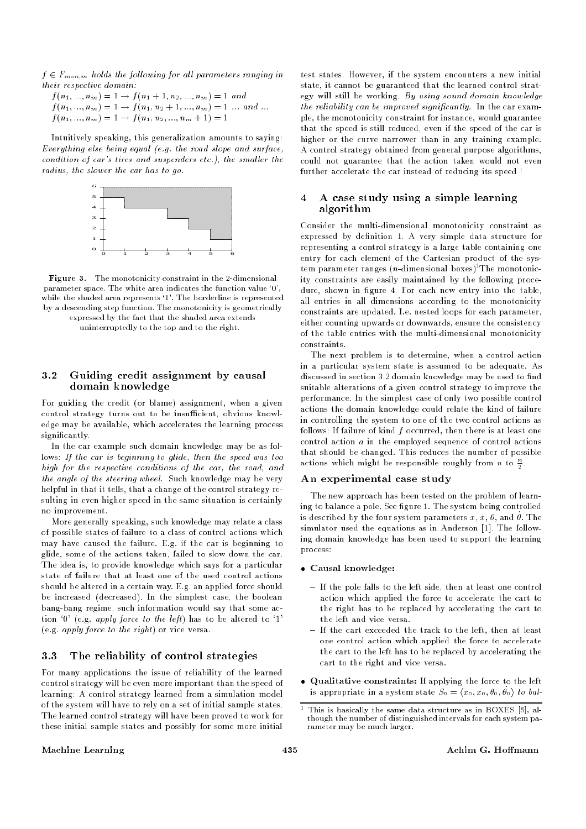$f \in F_{mon,m}$  holds the following for all parameters ranging in their respective domain:

 $f(n_1, ..., n_m) = 1 \rightarrow f(n_1 + 1, n_2, ..., n_m) = 1$  and  $f(n_1, ..., n_m) = 1 \rightarrow f(n_1, n_2 + 1, ..., n_m) = 1 ...$  and ...  $f(n_1, ..., n_m) = 1 \rightarrow f(n_1, n_2, ..., n_m + 1) = 1$ 

Intuitively speaking, this generalization amounts to saying: Everything else being equal (e.g. the road slope and surface,condition of car's tires and suspenders etc.), the smaller the radius, the slower the car has to go.



Figure 3. The monotonicity constraint in the 2-dimensional parameter space. The white area indicates the function value '0', while the shaded area represents '1'. The borderline is represented by a descending step function. The monotonicity is geometrically expressed by the fact that the shaded area extends

uninterruptedly to the top and to the right.

#### 3.2 Guiding credit assignment by causal domain knowledge

For guiding the credit (or blame) assignment, when a given control strategy turns out to be insufficient, obvious knowledge may be available, which accelerates the learning process significantly.

In the car example such domain knowledge may be as follows: If the car is beginning to glide, then the speed was too high for the respective conditions of the car, the road, and the angle of the steering wheel. Such knowledge may be very helpful in that it tells, that a change of the control strategy resulting in even higher speed in the same situation is certainly no improvement.

More generally speaking, such knowledge may relate a class of possible states of failure to a class of control actions which may have caused the failure. E.g. if the car is beginning to glide, some of the actions taken, failed to slow down the car. The idea is, to provide knowledge which says for a particular state of failure that at least one of the used control actions should be altered in a certain way. E.g. an applied force should be increased (decreased). In the simplest case, the boolean bang-bang regime, such information would say that some action '0' (e.g. apply force to the left) has to be altered to '1' (e.g. apply force to the right) or vice versa.

## 3.3 The reliability of control strategies

For many applications the issue of reliability of the learned control strategy will be even more important than the speed of learning: A control strategy learned from a simulation model of the system will have to rely on a set of initial sample states. The learned control strategy will have been proved to work for these initial sample states and possibly for some more initial

test states. However, if the system encounters a new initial state, it cannot be guaranteed that the learned control strategy will still be working. By using sound domain knowledge the reliability can be improved signicantly. In the car example, the monotonicity constraint for instance, would guarantee that the speed is still reduced, even if the speed of the car is higher or the curve narrower than in any training example. A control strategy obtained from general purpose algorithms, could not guarantee that the action taken would not even further accelerate the car instead of reducing its speed !

#### 4 A case study using a simple learning algorithm

Consider the multi-dimensional monotonicity constraint as expressed by definition 1. A very simple data structure for representing a control strategy is a large table containing one entry for each element of the Cartesian product of the system parameter ranges (n-dimensional boxes) The monotonicity constraints are easily maintained by the following procedure, shown in figure 4. For each new entry into the table, all entries in all dimensions according to the monotonicity constraints are updated. I.e. nested loops for each parameter, either counting upwards or downwards, ensure the consistency of the table entries with the multi-dimensional monotonicity constraints.

The next problem is to determine, when a control action in a particular system state is assumed to be adequate. As discussed in section 3.2 domain knowledge may be used to find suitable alterations of a given control strategy to improve the performance. In the simplest case of only two possible control actions the domain knowledge could relate the kind of failure in controlling the system to one of the two control actions as follows: If failure of kind  $f$  occurred, then there is at least one control action <sup>a</sup> in the employed sequence of control actions that should be changed. This reduces the number of possible actions which might be responsible roughly from n to  $\frac{1}{n}$ .

## An experimental case study

The new approach has been tested on the problem of learning to balance a pole. See figure 1. The system being controlled is described by the four system parameters  $x, x, v,$  and  $v$ . The simulator used the equations as in Anderson [1]. The following domain knowledge has been used to support the learning process:

#### Causal knowledge:

- If the pole falls to the left side, then at least one control action which applied the force to accelerate the cart to the right has to be replaced by accelerating the cart to the left and vice versa.
- If the cart exceeded the track to the left, then at least one control action which applied the force to accelerate the cart to the left has to be replaced by accelerating the cart to the right and vice versa.
- Qualitative constraints: If applying the force to the left is appropriate in a system state  $D_0 = \{x_0, x_0, v_0, v_0\}$  to bat-

#### Machine Learning and the contract of the contract of the 435 Achim G. Hoffmann (1990) Achim G. Hoffmann (1990)

 $\,$  - This is basically the same data structure as in BOAES [5], although the number of distinguished intervals for each system parameter may be much larger.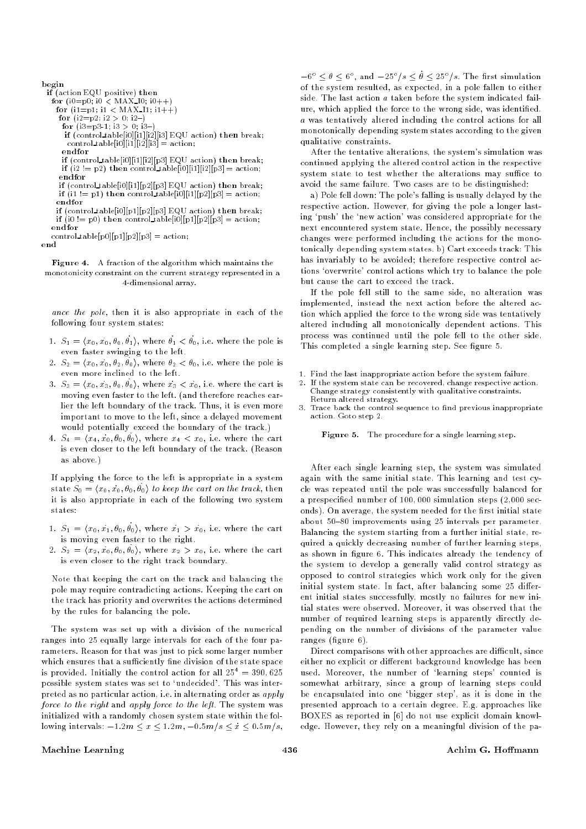$- - - -$ is two action  $E$  and  $E$  positive) the site for (i0=p0; i0 <sup>&</sup>lt; MAX I0; i0++) for (i1=p1; i1 <sup>&</sup>lt; MAX I1; i1++) for  $\alpha$  , i.e., i.e., i.e., i.e., i.e., i.e., i.e., i.e., i.e., i.e., i.e., i.e., i.e., i.e., i.e., i.e., i.e., i.e., i.e., i.e., i.e., i.e., i.e., i.e., i.e., i.e., i.e., i.e., i.e., i.e., i.e., i.e., i.e., i.e., i.e., for (i3=p3-1; i3 <sup>&</sup>gt; 0; i3{) if (control table[i0][i1][i2][i3] EQU action) then break; control table[i0][i1][i2][i3] = action; endforif (control table[i0][i1][i2][p3] EQU action) then break; if (i2 != p2) then control table[i0][i1][i2][p3] = action; endforif (control table[i0][i1][p2][p3] EQU action) then break; if (i1 != p1) then control table[i0][i1][p2][p3] = action; endforif (control table[i0][p1][p2][p3] EQU action) then break; if (i0 != p0) then control table[i0][p1][p2][p3] = action; endfor endforcontrol\_table[p0][p1][p2][p3] = action;

end

Figure 4. A fraction of the algorithm which maintains the monotonicity constraint on the current strategy represented in a 4-dimensional array. 4-dimensional array.

ances the point then it is also appropriate in each of the following four system states:

- 1.  $\omega_1 = \{x_0, x_0, v_0, v_1\}$ , where  $v_1 \times v_0$ , i.e. where the pole is even faster swinging to the left.
- $2. \quad \omega_2 = \nu_0, x_0, v_2, v_0, w$  where  $v_2 \lt v_0, v_0$  i.e. where the pole is even more inclined to the left.
- 3. S3 <sup>=</sup> hx0; x\_3 ; 0; \_ 0i, where x\_3 <sup>&</sup>lt; x\_0, i.e. where the cart is moving even faster to the left. (and therefore reaches earlier the left boundary of the track. Thus, it is even more important to move to the left, since a delayed movement would potentially exceed the boundary of the track.)
- $\tau_{\rm t}$ ,  $\omega_4$  =  $\chi_4$ ,  $x_0$ ,  $v_0$ ,  $v_0$ ,  $\eta$ , where  $x_4$   $\sim$   $x_0$ , i.e. where the cart is even closer to the left boundary of the track. (Reason as above.)

If applying the force to the left is appropriate in a system state  $\omega_0 = \langle x_0, x_0, v_0, v_0 \rangle$  to keep the cart on the track, then it is also appropriate in each of the following two system states:

- $1. \quad \omega_1 = \{x_0, x_1, v_0, v_0\}, \;$  where  $x_1 > x_0,$  i.e. where the cart is moving even faster to the right.
- $2. \quad \omega_2 = \chi_2, x_0, v_0, v_0, v_0, w$  where  $x_2 \nearrow x_0, x_0, w_0$  and  $x_0$ is even closer to the right track boundary.

Note that keeping the cart on the track and balancing the pole may require contradicting actions. Keeping the cart on the track has priority and overwrites the actions determined by the rules for balancing the pole.

The system was set up with a division of the numerical ranges into 25 equally large intervals for each of the four parameters. Reason for that was just to pick some larger number which ensures that a sufficiently fine division of the state space is provided. Initially the control action for all  $25\degree$   $=$  390,625  $\degree$ possible system states was set to 'undecided'. This was interpreted as no particular action, i.e. in alternating order as apply force to the right and apply force to the left. The system was initialized with a randomly chosen system state within the following intervals:  $-1.2m \le x \le 1.2m, -0.5m/s \le x \le 0.5m/s$ ,

 $-6^\circ \leq \theta \leq 6^\circ$ , and  $-25^\circ/s \leq \theta \leq 25^\circ/s$ . The first simulation of the system resulted, as expected, in a pole fallen to either side. The last action <sup>a</sup> taken before the system indicated failure, which applied the force to the wrong side, was identied. <sup>a</sup> was tentatively altered including the control actions for all monotonically depending system states according to the given qualitative constraints.

After the tentative alterations, the system's simulation was continued applying the altered control action in the respective system state to test whether the alterations may suffice to avoid the same failure. Two cases are to be distinguished:

a) Pole fell down: The pole's falling is usually delayed by the respective action. However, for giving the pole a longer lasting `push' the `new action' was considered appropriate for the next encountered system state. Hence, the possibly necessary changes were performed including the actions for the monotonically depending system states. b) Cart exceeds track: This has invariably to be avoided; therefore respective control actions 'overwrite' control actions which try to balance the pole but cause the cart to exceed the track.

If the pole fell still to the same side, no alteration was implemented, instead the next action before the altered action which applied the force to the wrong side was tentatively altered including all monotonically dependent actions. This process was continued until the pole fell to the other side. This completed a single learning step. See figure 5.

- 1. Find the last inappropriate action before the system failure.
- 2. If the system state can be recovered, change respective action. Change strategy consistently with qualitative constraints. Return altered strategy.
- $\mathcal{R}$ . Trace back the control sequence to find previous inappropriate action. Goto step 2.

Figure 5. The procedure for a single learning step.

After each single learning step, the system was simulated again with the same initial state. This learning and test cycle was repeated until the pole was successfully balanced for a prespecied number of 100; 000 simulation steps (2,000 seconds). On average, the system needed for the first initial state about 50-80 improvements using 25 intervals per parameter. Balancing the system starting from a further initial state, required a quickly decreasing number of further learning steps, as shown in figure 6. This indicates already the tendency of the system to develop a generally valid control strategy as opposed to control strategies which work only for the given initial system state. In fact, after balancing some 25 different initial states successfully, mostly no failures for new initial states were observed. Moreover, it was observed that the number of required learning steps is apparently directly depending on the number of divisions of the parameter value ranges (figure 6).

Direct comparisons with other approaches are difficult, since either no explicit or different background knowledge has been used. Moreover, the number of 'learning steps' counted is somewhat arbitrary, since a group of learning steps could be encapsulated into one `bigger step', as it is done in the presented approach to a certain degree. E.g. approaches like BOXES as reported in [6] do not use explicit domain knowledge. However, they rely on a meaningful division of the pa-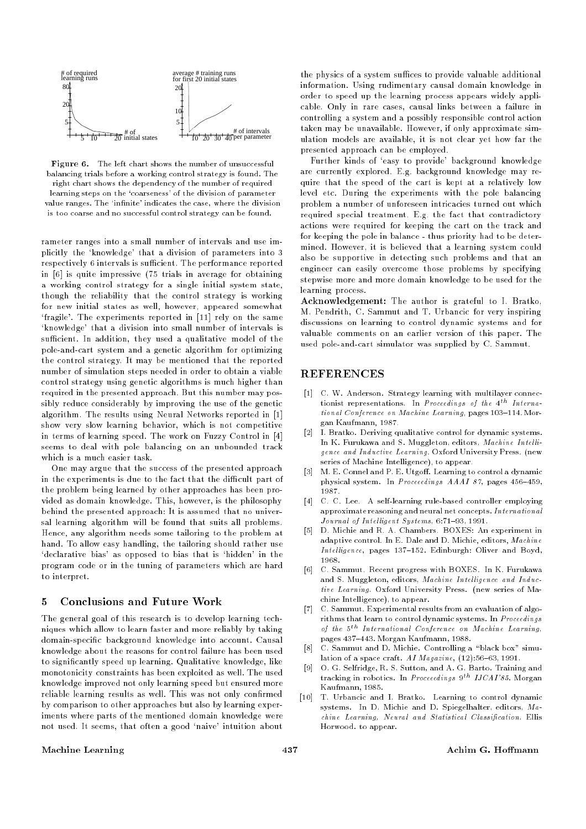

Figure 6. The left chart shows the number of unsuccessful balancing trials before a working control strategy is found. The right chart shows the dependency of the number of required learning steps on the 'coarseness' of the division of parameter value ranges. The 'infinite' indicates the case, where the division is too coarse and no successful control strategy can be found.

rameter ranges into a small number of intervals and use implicitly the `knowledge' that a division of parameters into 3 respectively 6 intervals is sufficient. The performance reported in [6] is quite impressive (75 trials in average for obtaining a working control strategy for a single initial system state, though the reliability that the control strategy is working for new initial states as well, however, appeared somewhat `fragile'. The experiments reported in [11] rely on the same `knowledge' that a division into small number of intervals is sufficient. In addition, they used a qualitative model of the pole-and-cart system and a genetic algorithm for optimizing the control strategy. It may be mentioned that the reported number of simulation steps needed in order to obtain a viable control strategy using genetic algorithms is much higher than required in the presented approach. But this number may possibly reduce considerably by improving the use of the genetic algorithm. The results using Neural Networks reported in [1] show very slow learning behavior, which is not competitive in terms of learning speed. The work on Fuzzy Control in [4] seems to deal with pole balancing on an unbounded track which is a much easier task.

One may argue that the success of the presented approach in the experiments is due to the fact that the difficult part of the problem being learned by other approaches has been provided as domain knowledge. This, however, is the philosophy behind the presented approach: It is assumed that no universal learning algorithm will be found that suits all problems. Hence, any algorithm needs some tailoring to the problem at hand. To allow easy handling, the tailoring should rather use `declarative bias' as opposed to bias that is `hidden' in the program code or in the tuning of parameters which are hard to interpret.

### 5 Conclusions and Future Work

The general goal of this research is to develop learning techniques which allow to learn faster and more reliably by taking domain-specic background knowledge into account. Causal knowledge about the reasons for control failure has been used to signicantly speed up learning. Qualitative knowledge, like monotonicity constraints has been exploited as well. The used knowledge improved not only learning speed but ensured more reliable learning results as well. This was not only confirmed by comparison to other approaches but also by learning experiments where parts of the mentioned domain knowledge were not used. It seems, that often a good `naive' intuition about

the physics of a system suffices to provide valuable additional information. Using rudimentary causal domain knowledge in order to speed up the learning process appears widely applicable. Only in rare cases, causal links between a failure in controlling a system and a possibly responsible control action taken may be unavailable. However, if only approximate simulation models are available, it is not clear yet how far the presented approach can be employed.

Further kinds of `easy to provide' background knowledge are currently explored. E.g. background knowledge may require that the speed of the cart is kept at a relatively low level etc. During the experiments with the pole balancing problem a number of unforeseen intricacies turned out which required special treatment. E.g. the fact that contradictory actions were required for keeping the cart on the track and for keeping the pole in balance - thus priority had to be determined. However, it is believed that a learning system could also be supportive in detecting such problems and that an engineer can easily overcome those problems by specifying stepwise more and more domain knowledge to be used for the learning process.

Acknowledgement: The author is grateful to I. Bratko, M. Pendrith, C. Sammut and T. Urbancic for very inspiring discussions on learning to control dynamic systems and for valuable comments on an earlier version of this paper. The used pole-and-cart simulator was supplied by C. Sammut.

#### **REFERENCES**

- [1] C. W. Anderson. Strategy learning with multilayer connectionist representations. In Proceedings of the  $4^{th}$  International Conference on Machine Learning, pages 103-114. Morgan Kaufmann, 1987.
- [2] I. Bratko. Deriving qualitative control for dynamic systems. In K. Furukawa and S. Muggleton, editors, Machine Intelligence and Inductive Learning. Oxford University Press. (new series of Machine Intelligence), to appear.
- [3] M. E. Connel and P. E. Utgoff. Learning to control a dynamic physical system. In Proceeedings AAAI 87, pages 456-459, 1987.
- [4] C. C. Lee. A self-learning rule-based controller employing approximate reasoning and neural net concepts. International  $Journal of Intelligence Systems, 6:71–93, 1991.$
- [5] D. Michie and R. A. Chambers. BOXES: An experiment in adaptive control. In E. Dale and D. Michie, editors, Machine Intelligence, pages 137-152. Edinburgh: Oliver and Boyd,
- [6] C. Sammut. Recent progress with BOXES. In K. Furukawa and S. Muggleton, editors, Machine Intelligence and Inductive Learning. Oxford University Press. (new series of Machine Intelligence), to appear.
- [7] C. Sammut. Experimental results from an evaluation of algorithms that learn to control dynamic systems. In Proceedings of the 5th International Conference on Machine Learning, pages 437-443. Morgan Kaufmann, 1988.
- [8] C. Sammut and D. Michie. Controlling a "black box" simulation of a space craft. AI Magazine,  $(12)$ :56-63, 1991.
- [9] O. G. Selfridge, R. S. Sutton, and A. G. Barto. Training and tracking in robotics. In Proceeedings  $9^{th}$  IJCAI'85. Morgan Kaufmann. 1985. Kaufmann, 1985.
- $[10]$ T. Urbancic and I. Bratko. Learning to control dynamic systems. In D. Michie and D. Spiegelhalter, editors, Machine Learning, Neural and Statistical Classification. Ellis Horwood. to appear.

#### Machine Learning